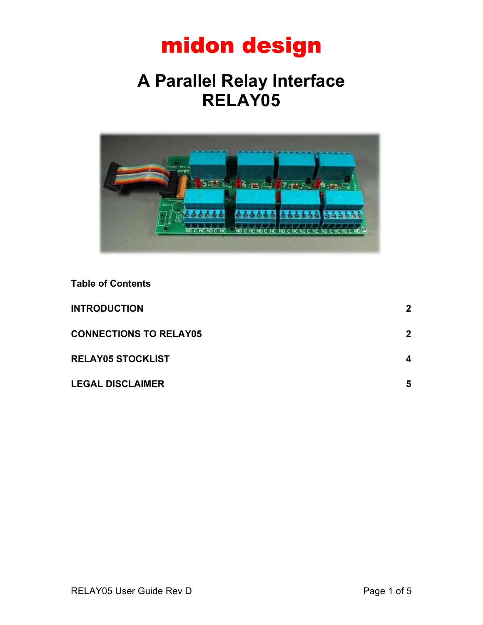## **A Parallel Relay Interface RELAY05**



**Table of Contents**

| <b>INTRODUCTION</b>           | $\mathbf{2}$ |
|-------------------------------|--------------|
| <b>CONNECTIONS TO RELAY05</b> | $\mathbf{2}$ |
| <b>RELAY05 STOCKLIST</b>      | 4            |
| <b>LEGAL DISCLAIMER</b>       | 5            |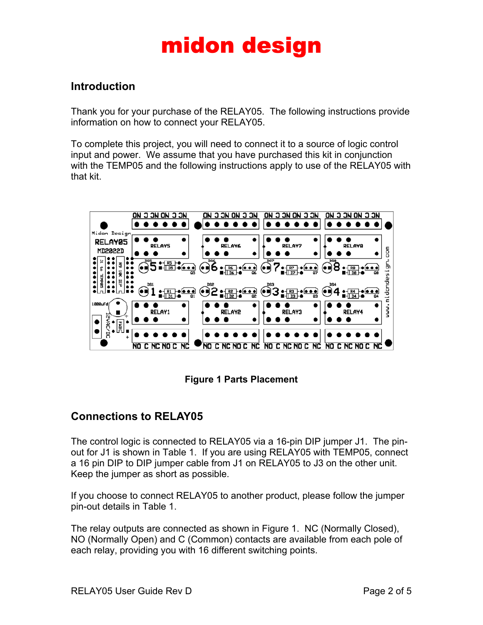### <span id="page-1-0"></span>**Introduction**

Thank you for your purchase of the RELAY05. The following instructions provide information on how to connect your RELAY05.

To complete this project, you will need to connect it to a source of logic control input and power. We assume that you have purchased this kit in conjunction with the TEMP05 and the following instructions apply to use of the RELAY05 with that kit.



**Figure 1 Parts Placement**

### <span id="page-1-1"></span>**Connections to RELAY05**

The control logic is connected to RELAY05 via a 16-pin DIP jumper J1. The pinout for J1 is shown in Table 1. If you are using RELAY05 with TEMP05, connect a 16 pin DIP to DIP jumper cable from J1 on RELAY05 to J3 on the other unit. Keep the jumper as short as possible.

If you choose to connect RELAY05 to another product, please follow the jumper pin-out details in Table 1.

The relay outputs are connected as shown in Figure 1. NC (Normally Closed), NO (Normally Open) and C (Common) contacts are available from each pole of each relay, providing you with 16 different switching points.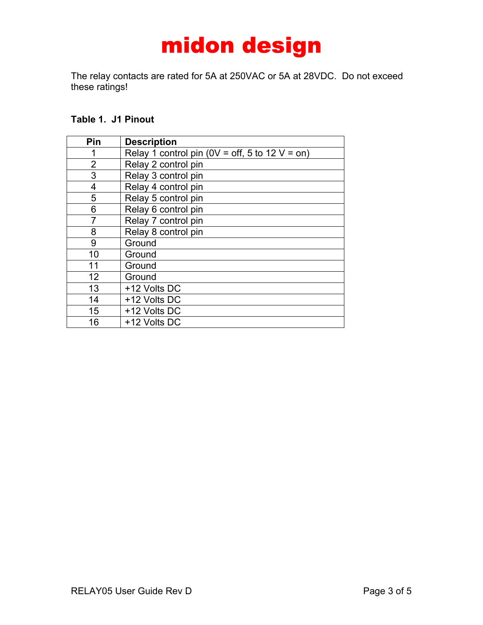The relay contacts are rated for 5A at 250VAC or 5A at 28VDC. Do not exceed these ratings!

#### **Table 1. J1 Pinout**

| Pin            | <b>Description</b>                                 |  |  |  |
|----------------|----------------------------------------------------|--|--|--|
| 1              | Relay 1 control pin ( $0V = off$ , 5 to 12 V = on) |  |  |  |
| $\overline{2}$ | Relay 2 control pin                                |  |  |  |
| 3              | Relay 3 control pin                                |  |  |  |
| 4              | Relay 4 control pin                                |  |  |  |
| 5              | Relay 5 control pin                                |  |  |  |
| 6              | Relay 6 control pin                                |  |  |  |
| 7              | Relay 7 control pin                                |  |  |  |
| 8              | Relay 8 control pin                                |  |  |  |
| 9              | Ground                                             |  |  |  |
| 10             | Ground                                             |  |  |  |
| 11             | Ground                                             |  |  |  |
| 12             | Ground                                             |  |  |  |
| 13             | +12 Volts DC                                       |  |  |  |
| 14             | +12 Volts DC                                       |  |  |  |
| 15             | +12 Volts DC                                       |  |  |  |
| 16             | +12 Volts DC                                       |  |  |  |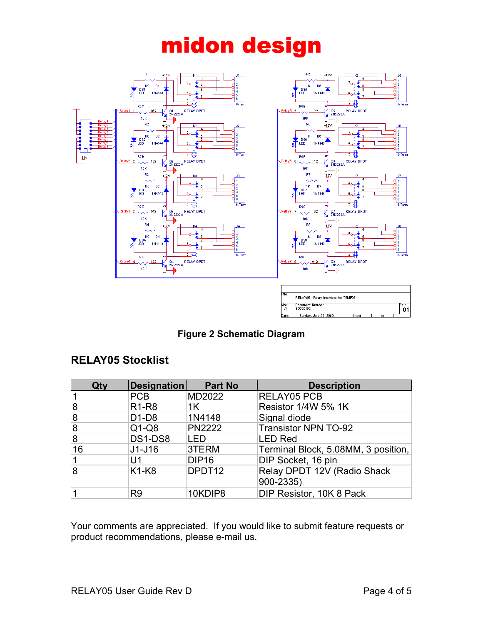

**Figure 2 Schematic Diagram**

### <span id="page-3-0"></span>**RELAY05 Stocklist**

| Qty            | Designation                    | <b>Part No</b>     | <b>Description</b>                  |
|----------------|--------------------------------|--------------------|-------------------------------------|
|                | PCB                            | MD2022             | <b>RELAY05 PCB</b>                  |
| 8              | R <sub>1</sub> -R <sub>8</sub> | 1 <sup>K</sup>     | Resistor 1/4W 5% 1K                 |
| 8              | $D1-D8$                        | 1N4148             | Signal diode                        |
| $\overline{8}$ | $Q1-Q8$                        | <b>PN2222</b>      | <b>Transistor NPN TO-92</b>         |
| $\overline{8}$ | DS1-DS8                        | <b>LED</b>         | <b>LED Red</b>                      |
| 16             | $J1-J16$                       | 3TERM              | Terminal Block, 5.08MM, 3 position, |
|                | U1                             | <b>DIP16</b>       | DIP Socket, 16 pin                  |
| $\overline{8}$ | K <sub>1</sub> -K <sub>8</sub> | DPDT <sub>12</sub> | Relay DPDT 12V (Radio Shack         |
|                |                                |                    | 900-2335)                           |
|                | R <sub>9</sub>                 | 10KDIP8            | DIP Resistor, 10K 8 Pack            |

Your comments are appreciated. If you would like to submit feature requests or product recommendations, please e-mail us.